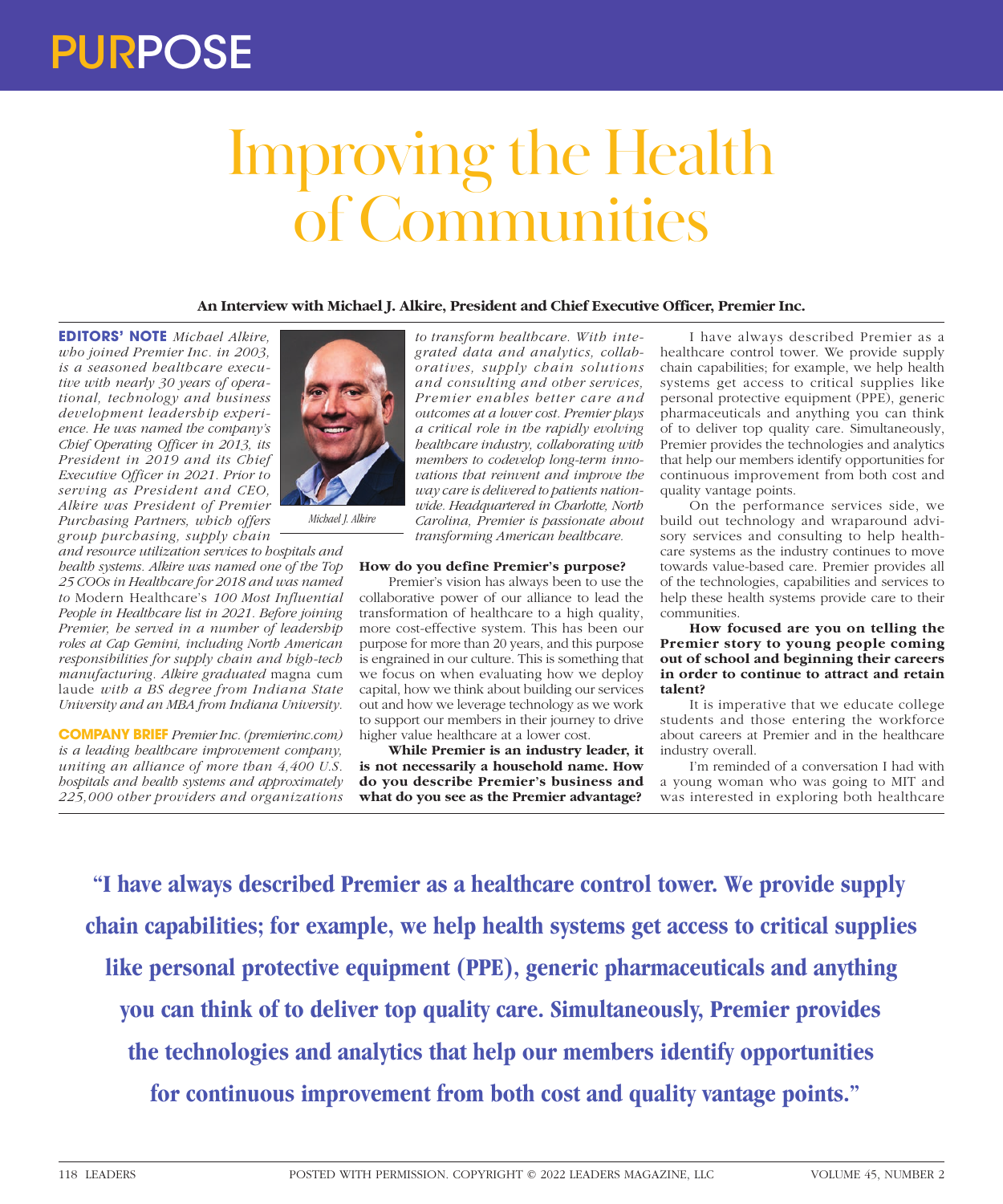## PURPOSE

## Improving the Health of Communities

**An Interview with Michael J. Alkire, President and Chief Executive Officer, Premier Inc.**

**EDITORS' NOTE** *Michael Alkire, who joined Premier Inc. in 2003, is a seasoned healthcare executive with nearly 30 years of operational, technology and business development leadership experience. He was named the company's Chief Operating Officer in 2013, its President in 2019 and its Chief Executive Officer in 2021. Prior to serving as President and CEO, Alkire was President of Premier Purchasing Partners, which offers group purchasing, supply chain* 

*and resource utilization services to hospitals and health systems. Alkire was named one of the Top 25 COOs in Healthcare for 2018 and was named to* Modern Healthcare's *100 Most Influential People in Healthcare list in 2021. Before joining Premier, he served in a number of leadership roles at Cap Gemini, including North American responsibilities for supply chain and high-tech manufacturing. Alkire graduated* magna cum laude *with a BS degree from Indiana State University and an MBA from Indiana University.*

**COMPANY BRIEF** *Premier Inc. (premierinc.com) is a leading healthcare improvement company, uniting an alliance of more than 4,400 U.S. hospitals and health systems and approximately 225,000 other providers and organizations* 



*Michael J. Alkire*

*to transform healthcare. With integrated data and analytics, collaboratives, supply chain solutions and consulting and other services, Premier enables better care and outcomes at a lower cost. Premier plays a critical role in the rapidly evolving healthcare industry, collaborating with members to codevelop long-term innovations that reinvent and improve the way care is delivered to patients nationwide. Headquartered in Charlotte, North Carolina, Premier is passionate about transforming American healthcare.*

## **How do you define Premier's purpose?**

Premier's vision has always been to use the collaborative power of our alliance to lead the transformation of healthcare to a high quality, more cost-effective system. This has been our purpose for more than 20 years, and this purpose is engrained in our culture. This is something that we focus on when evaluating how we deploy capital, how we think about building our services out and how we leverage technology as we work to support our members in their journey to drive higher value healthcare at a lower cost.

**While Premier is an industry leader, it is not necessarily a household name. How do you describe Premier's business and what do you see as the Premier advantage?**

I have always described Premier as a healthcare control tower. We provide supply chain capabilities; for example, we help health systems get access to critical supplies like personal protective equipment (PPE), generic pharmaceuticals and anything you can think of to deliver top quality care. Simultaneously, Premier provides the technologies and analytics that help our members identify opportunities for continuous improvement from both cost and quality vantage points.

On the performance services side, we build out technology and wraparound advisory services and consulting to help healthcare systems as the industry continues to move towards value-based care. Premier provides all of the technologies, capabilities and services to help these health systems provide care to their communities.

**How focused are you on telling the Premier story to young people coming out of school and beginning their careers in order to continue to attract and retain talent?**

It is imperative that we educate college students and those entering the workforce about careers at Premier and in the healthcare industry overall.

I'm reminded of a conversation I had with a young woman who was going to MIT and was interested in exploring both healthcare

**"I have always described Premier as a healthcare control tower. We provide supply chain capabilities; for example, we help health systems get access to critical supplies like personal protective equipment (PPE), generic pharmaceuticals and anything you can think of to deliver top quality care. Simultaneously, Premier provides the technologies and analytics that help our members identify opportunities for continuous improvement from both cost and quality vantage points."**